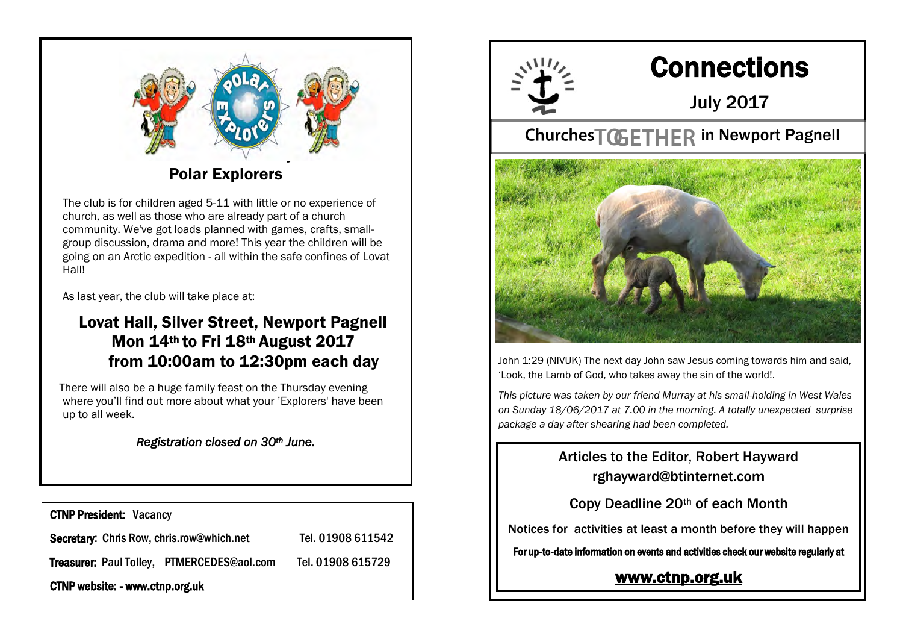

The club is for children aged 5-11 with little or no experience of church, as well as those who are already part of a church community. We've got loads planned with games, crafts, smallgroup discussion, drama and more! This year the children will be going on an Arctic expedition - all within the safe confines of Lovat Hall!

As last year, the club will take place at:

### Lovat Hall, Silver Street, Newport Pagnell Mon 14th to Fri 18th August 2017 from 10:00am to 12:30pm each day

There will also be a huge family feast on the Thursday evening where you'll find out more about what your 'Explorers' have been up to all week.

#### *Registration closed on 30th June.*

CTNP President: Vacancy Secretary: Chris Row, chris.row@which.net Tel. 01908 611542 Treasurer: Paul Tolley, PTMERCEDES@aol.com Tel. 01908 615729 CTNP website: - www.ctnp.org.uk



# **Connections**

July 2017

# Churches<sup>T</sup>GETHER in Newport Pagnell



John 1:29 (NIVUK) The next day John saw Jesus coming towards him and said, 'Look, the Lamb of God, who takes away the sin of the world!.

*This picture was taken by our friend Murray at his small-holding in West Wales on Sunday 18/06/2017 at 7.00 in the morning. A totally unexpected surprise package a day after shearing had been completed.* 

> Articles to the Editor, Robert Hayward rghayward@btinternet.com

Copy Deadline 20th of each Month

Notices for activities at least a month before they will happen

For up-to-date information on events and activities check our website regularly at

#### [www.ctnp.org.uk](http://www.ctnp.org.uk)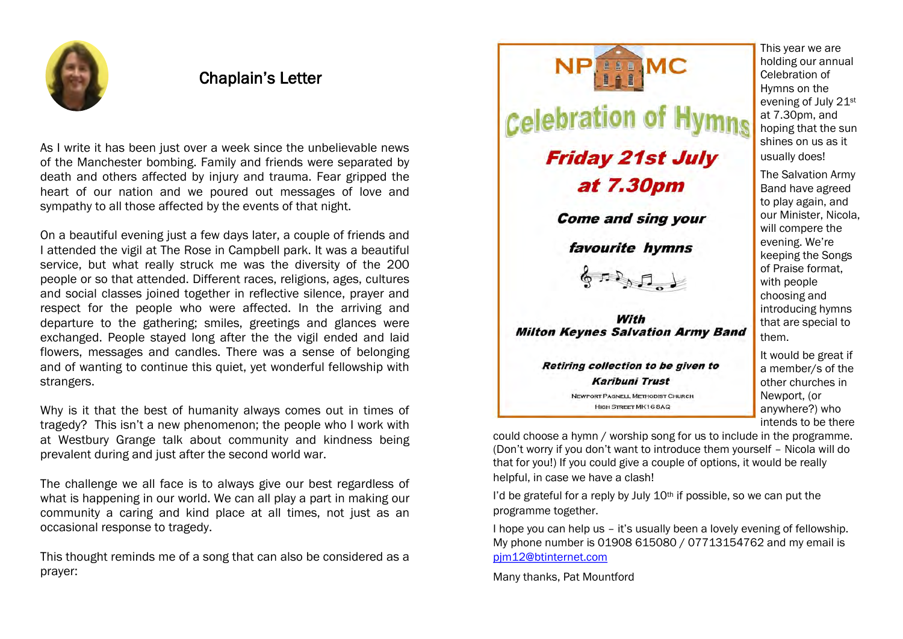

#### Chaplain's Letter

As I write it has been just over a week since the unbelievable news of the Manchester bombing. Family and friends were separated by death and others affected by injury and trauma. Fear gripped the heart of our nation and we poured out messages of love and sympathy to all those affected by the events of that night.

On a beautiful evening just a few days later, a couple of friends and I attended the vigil at The Rose in Campbell park. It was a beautiful service, but what really struck me was the diversity of the 200 people or so that attended. Different races, religions, ages, cultures and social classes joined together in reflective silence, prayer and respect for the people who were affected. In the arriving and departure to the gathering; smiles, greetings and glances were exchanged. People stayed long after the the vigil ended and laid flowers, messages and candles. There was a sense of belonging and of wanting to continue this quiet, yet wonderful fellowship with strangers.

Why is it that the best of humanity always comes out in times of tragedy? This isn't a new phenomenon; the people who I work with at Westbury Grange talk about community and kindness being prevalent during and just after the second world war.

The challenge we all face is to always give our best regardless of what is happening in our world. We can all play a part in making our community a caring and kind place at all times, not just as an occasional response to tragedy.

This thought reminds me of a song that can also be considered as a prayer:



This year we are holding our annual Celebration of Hymns on the evening of July 21st at 7.30pm, and hoping that the sun shines on us as it usually does!

The Salvation Army Band have agreed to play again, and our Minister, Nicola, will compere the evening. We're keeping the Songs of Praise format, with people choosing and introducing hymns that are special to them.

It would be great if a member/s of the other churches in Newport, (or anywhere?) who intends to be there

could choose a hymn / worship song for us to include in the programme. (Don't worry if you don't want to introduce them yourself – Nicola will do that for you!) If you could give a couple of options, it would be really helpful, in case we have a clash!

I'd be grateful for a reply by July  $10<sup>th</sup>$  if possible, so we can put the programme together.

I hope you can help us – it's usually been a lovely evening of fellowship. My phone number is 01908 615080 / 07713154762 and my email is [pjm12@btinternet.com](mailto:pjm12@btinternet.com)

Many thanks, Pat Mountford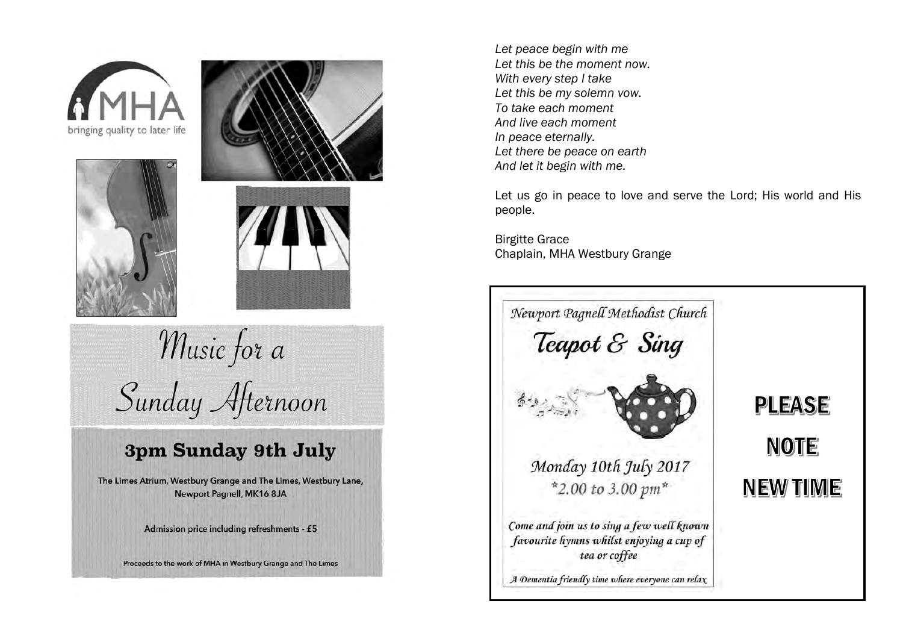



Music for a Sunday Afternoon

# 3pm Sunday 9th July

The Limes Atrium, Westbury Grange and The Limes, Westbury Lane, Newport Pagnell, MK16 8JA

Admission price including refreshments - £5

Proceeds to the work of MHA in Westbury Grange and The Limes

*Let peace begin with me Let this be the moment now. With every step I take Let this be my solemn vow. To take each moment And live each moment In peace eternally. Let there be peace on earth And let it begin with me.*

Let us go in peace to love and serve the Lord; His world and His people.

Birgitte Grace Chaplain, MHA Westbury Grange